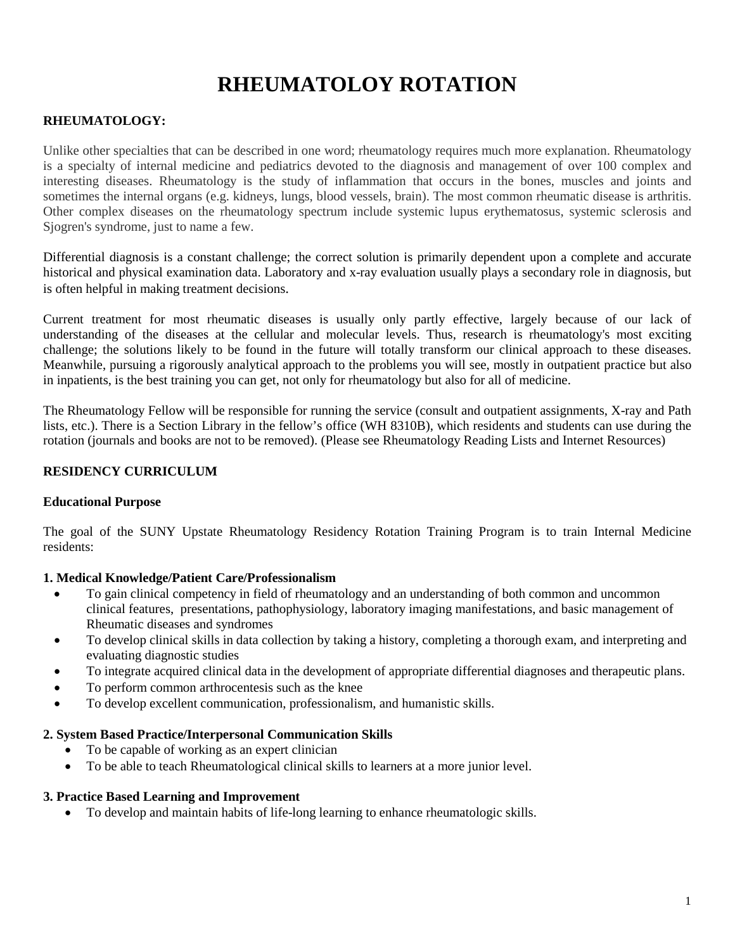## **RHEUMATOLOY ROTATION**

## **RHEUMATOLOGY:**

Unlike other specialties that can be described in one word; rheumatology requires much more explanation. Rheumatology is a specialty of internal medicine and pediatrics devoted to the diagnosis and management of over 100 complex and interesting diseases. Rheumatology is the study of inflammation that occurs in the bones, muscles and joints and sometimes the internal organs (e.g. kidneys, lungs, blood vessels, brain). The most common rheumatic disease is arthritis. Other complex diseases on the rheumatology spectrum include systemic lupus erythematosus, systemic sclerosis and Sjogren's syndrome, just to name a few.

Differential diagnosis is a constant challenge; the correct solution is primarily dependent upon a complete and accurate historical and physical examination data. Laboratory and x-ray evaluation usually plays a secondary role in diagnosis, but is often helpful in making treatment decisions.

Current treatment for most rheumatic diseases is usually only partly effective, largely because of our lack of understanding of the diseases at the cellular and molecular levels. Thus, research is rheumatology's most exciting challenge; the solutions likely to be found in the future will totally transform our clinical approach to these diseases. Meanwhile, pursuing a rigorously analytical approach to the problems you will see, mostly in outpatient practice but also in inpatients, is the best training you can get, not only for rheumatology but also for all of medicine.

The Rheumatology Fellow will be responsible for running the service (consult and outpatient assignments, X-ray and Path lists, etc.). There is a Section Library in the fellow's office (WH 8310B), which residents and students can use during the rotation (journals and books are not to be removed). (Please see Rheumatology Reading Lists and Internet Resources)

## **RESIDENCY CURRICULUM**

## **Educational Purpose**

The goal of the SUNY Upstate Rheumatology Residency Rotation Training Program is to train Internal Medicine residents:

## **1. Medical Knowledge/Patient Care/Professionalism**

- To gain clinical competency in field of rheumatology and an understanding of both common and uncommon clinical features, presentations, pathophysiology, laboratory imaging manifestations, and basic management of Rheumatic diseases and syndromes
- To develop clinical skills in data collection by taking a history, completing a thorough exam, and interpreting and evaluating diagnostic studies
- To integrate acquired clinical data in the development of appropriate differential diagnoses and therapeutic plans.
- To perform common arthrocentesis such as the knee
- To develop excellent communication, professionalism, and humanistic skills.

#### **2. System Based Practice/Interpersonal Communication Skills**

- To be capable of working as an expert clinician
- To be able to teach Rheumatological clinical skills to learners at a more junior level.

#### **3. Practice Based Learning and Improvement**

• To develop and maintain habits of life-long learning to enhance rheumatologic skills.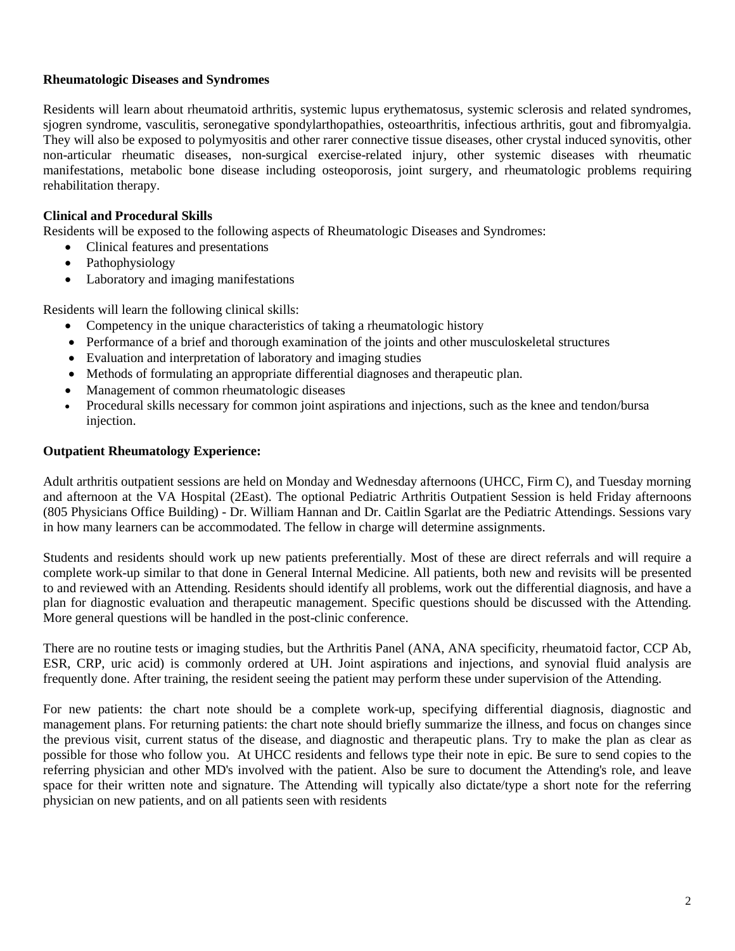## **Rheumatologic Diseases and Syndromes**

Residents will learn about rheumatoid arthritis, systemic lupus erythematosus, systemic sclerosis and related syndromes, sjogren syndrome, vasculitis, seronegative spondylarthopathies, osteoarthritis, infectious arthritis, gout and fibromyalgia. They will also be exposed to polymyositis and other rarer connective tissue diseases, other crystal induced synovitis, other non-articular rheumatic diseases, non-surgical exercise-related injury, other systemic diseases with rheumatic manifestations, metabolic bone disease including osteoporosis, joint surgery, and rheumatologic problems requiring rehabilitation therapy.

## **Clinical and Procedural Skills**

Residents will be exposed to the following aspects of Rheumatologic Diseases and Syndromes:

- Clinical features and presentations
- Pathophysiology
- Laboratory and imaging manifestations

Residents will learn the following clinical skills:

- Competency in the unique characteristics of taking a rheumatologic history
- Performance of a brief and thorough examination of the joints and other musculoskeletal structures
- Evaluation and interpretation of laboratory and imaging studies
- Methods of formulating an appropriate differential diagnoses and therapeutic plan.
- Management of common rheumatologic diseases
- Procedural skills necessary for common joint aspirations and injections, such as the knee and tendon/bursa injection.

## **Outpatient Rheumatology Experience:**

Adult arthritis outpatient sessions are held on Monday and Wednesday afternoons (UHCC, Firm C), and Tuesday morning and afternoon at the VA Hospital (2East). The optional Pediatric Arthritis Outpatient Session is held Friday afternoons (805 Physicians Office Building) - Dr. William Hannan and Dr. Caitlin Sgarlat are the Pediatric Attendings. Sessions vary in how many learners can be accommodated. The fellow in charge will determine assignments.

Students and residents should work up new patients preferentially. Most of these are direct referrals and will require a complete work-up similar to that done in General Internal Medicine. All patients, both new and revisits will be presented to and reviewed with an Attending. Residents should identify all problems, work out the differential diagnosis, and have a plan for diagnostic evaluation and therapeutic management. Specific questions should be discussed with the Attending. More general questions will be handled in the post-clinic conference.

There are no routine tests or imaging studies, but the Arthritis Panel (ANA, ANA specificity, rheumatoid factor, CCP Ab, ESR, CRP, uric acid) is commonly ordered at UH. Joint aspirations and injections, and synovial fluid analysis are frequently done. After training, the resident seeing the patient may perform these under supervision of the Attending.

For new patients: the chart note should be a complete work-up, specifying differential diagnosis, diagnostic and management plans. For returning patients: the chart note should briefly summarize the illness, and focus on changes since the previous visit, current status of the disease, and diagnostic and therapeutic plans. Try to make the plan as clear as possible for those who follow you. At UHCC residents and fellows type their note in epic. Be sure to send copies to the referring physician and other MD's involved with the patient. Also be sure to document the Attending's role, and leave space for their written note and signature. The Attending will typically also dictate/type a short note for the referring physician on new patients, and on all patients seen with residents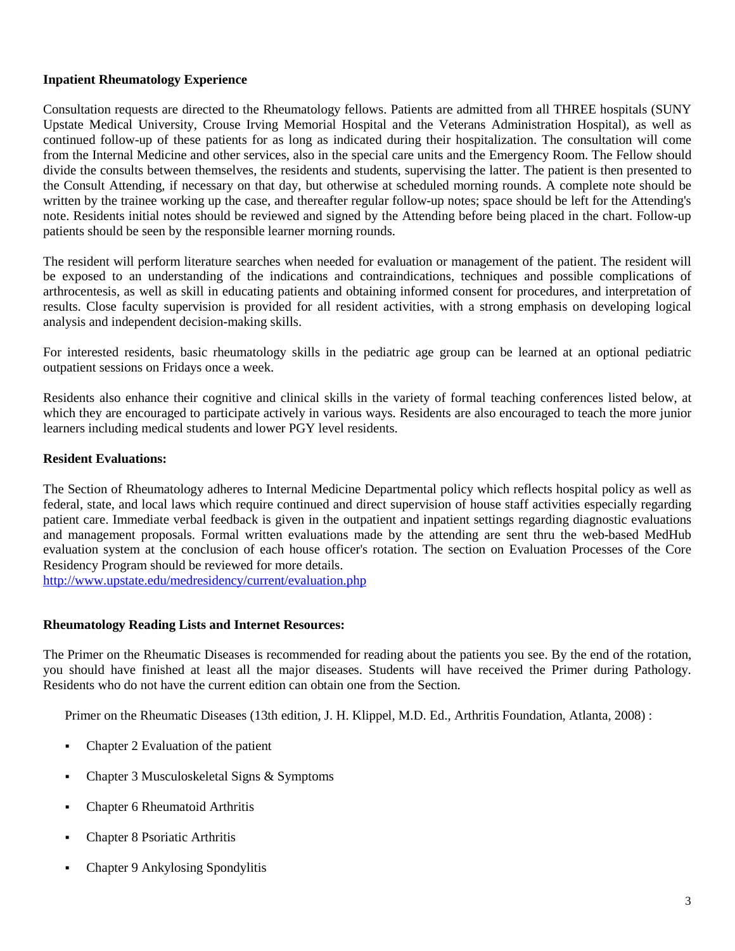## **Inpatient Rheumatology Experience**

Consultation requests are directed to the Rheumatology fellows. Patients are admitted from all THREE hospitals (SUNY Upstate Medical University, Crouse Irving Memorial Hospital and the Veterans Administration Hospital), as well as continued follow-up of these patients for as long as indicated during their hospitalization. The consultation will come from the Internal Medicine and other services, also in the special care units and the Emergency Room. The Fellow should divide the consults between themselves, the residents and students, supervising the latter. The patient is then presented to the Consult Attending, if necessary on that day, but otherwise at scheduled morning rounds. A complete note should be written by the trainee working up the case, and thereafter regular follow-up notes; space should be left for the Attending's note. Residents initial notes should be reviewed and signed by the Attending before being placed in the chart. Follow-up patients should be seen by the responsible learner morning rounds.

The resident will perform literature searches when needed for evaluation or management of the patient. The resident will be exposed to an understanding of the indications and contraindications, techniques and possible complications of arthrocentesis, as well as skill in educating patients and obtaining informed consent for procedures, and interpretation of results. Close faculty supervision is provided for all resident activities, with a strong emphasis on developing logical analysis and independent decision-making skills.

For interested residents, basic rheumatology skills in the pediatric age group can be learned at an optional pediatric outpatient sessions on Fridays once a week.

Residents also enhance their cognitive and clinical skills in the variety of formal teaching conferences listed below, at which they are encouraged to participate actively in various ways. Residents are also encouraged to teach the more junior learners including medical students and lower PGY level residents.

## **Resident Evaluations:**

The Section of Rheumatology adheres to Internal Medicine Departmental policy which reflects hospital policy as well as federal, state, and local laws which require continued and direct supervision of house staff activities especially regarding patient care. Immediate verbal feedback is given in the outpatient and inpatient settings regarding diagnostic evaluations and management proposals. Formal written evaluations made by the attending are sent thru the web-based MedHub evaluation system at the conclusion of each house officer's rotation. The section on Evaluation Processes of the Core Residency Program should be reviewed for more details.

<http://www.upstate.edu/medresidency/current/evaluation.php>

## **Rheumatology Reading Lists and Internet Resources:**

The Primer on the Rheumatic Diseases is recommended for reading about the patients you see. By the end of the rotation, you should have finished at least all the major diseases. Students will have received the Primer during Pathology. Residents who do not have the current edition can obtain one from the Section.

Primer on the Rheumatic Diseases (13th edition, J. H. Klippel, M.D. Ed., Arthritis Foundation, Atlanta, 2008) :

- Chapter 2 Evaluation of the patient
- Chapter 3 Musculoskeletal Signs & Symptoms
- Chapter 6 Rheumatoid Arthritis
- Chapter 8 Psoriatic Arthritis
- Chapter 9 Ankylosing Spondylitis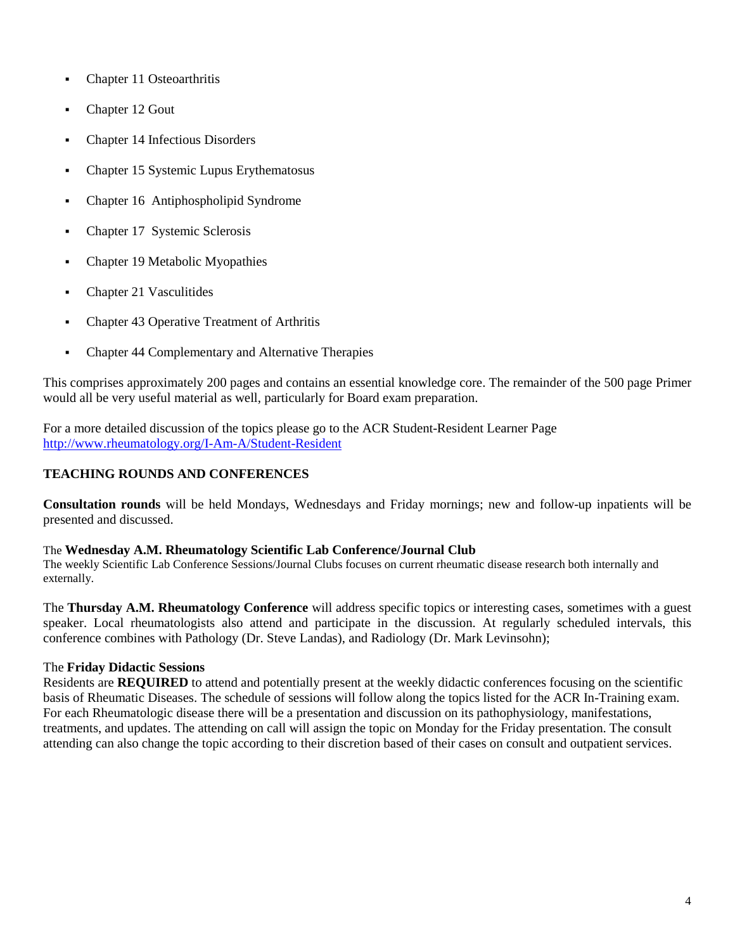- Chapter 11 Osteoarthritis
- Chapter 12 Gout
- Chapter 14 Infectious Disorders
- Chapter 15 Systemic Lupus Erythematosus
- Chapter 16 Antiphospholipid Syndrome
- Chapter 17 Systemic Sclerosis
- Chapter 19 Metabolic Myopathies
- Chapter 21 Vasculitides
- Chapter 43 Operative Treatment of Arthritis
- Chapter 44 Complementary and Alternative Therapies

This comprises approximately 200 pages and contains an essential knowledge core. The remainder of the 500 page Primer would all be very useful material as well, particularly for Board exam preparation.

For a more detailed discussion of the topics please go to the ACR Student-Resident Learner Page <http://www.rheumatology.org/I-Am-A/Student-Resident>

## **TEACHING ROUNDS AND CONFERENCES**

**Consultation rounds** will be held Mondays, Wednesdays and Friday mornings; new and follow-up inpatients will be presented and discussed.

## The **Wednesday A.M. Rheumatology Scientific Lab Conference/Journal Club**

The weekly Scientific Lab Conference Sessions/Journal Clubs focuses on current rheumatic disease research both internally and externally.

The **Thursday A.M. Rheumatology Conference** will address specific topics or interesting cases, sometimes with a guest speaker. Local rheumatologists also attend and participate in the discussion. At regularly scheduled intervals, this conference combines with Pathology (Dr. Steve Landas), and Radiology (Dr. Mark Levinsohn);

## The **Friday Didactic Sessions**

Residents are **REQUIRED** to attend and potentially present at the weekly didactic conferences focusing on the scientific basis of Rheumatic Diseases. The schedule of sessions will follow along the topics listed for the ACR In-Training exam. For each Rheumatologic disease there will be a presentation and discussion on its pathophysiology, manifestations, treatments, and updates. The attending on call will assign the topic on Monday for the Friday presentation. The consult attending can also change the topic according to their discretion based of their cases on consult and outpatient services.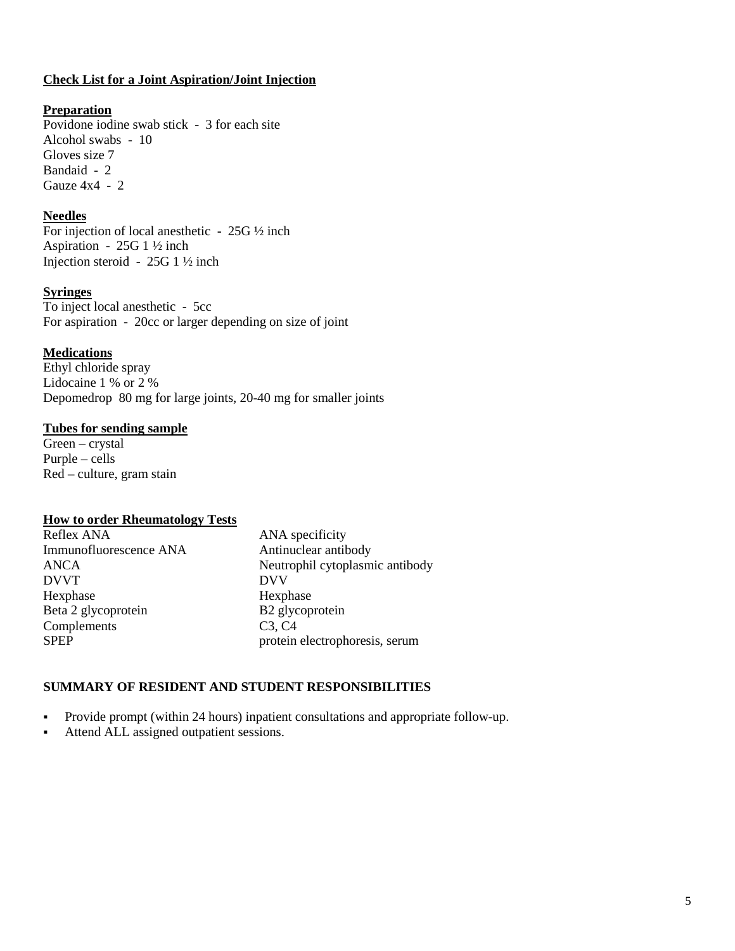## **Check List for a Joint Aspiration/Joint Injection**

## **Preparation**

Povidone iodine swab stick - 3 for each site Alcohol swabs - 10 Gloves size 7 Bandaid - 2 Gauze 4x4 - 2

## **Needles**

For injection of local anesthetic - 25G ½ inch Aspiration - 25G 1 ½ inch Injection steroid - 25G 1 ½ inch

## **Syringes**

To inject local anesthetic - 5cc For aspiration - 20cc or larger depending on size of joint

## **Medications**

Ethyl chloride spray Lidocaine 1 % or 2 % Depomedrop 80 mg for large joints, 20-40 mg for smaller joints

## **Tubes for sending sample**

Green – crystal Purple – cells Red – culture, gram stain

# **How to order Rheumatology Tests**

Immunofluorescence ANA Antinuclear antibody DVVT DVV Hexphase Hexphase Beta 2 glycoprotein B2 glycoprotein Complements C3, C4<br>SPEP protein

ANA specificity ANCA Neutrophil cytoplasmic antibody protein electrophoresis, serum

## **SUMMARY OF RESIDENT AND STUDENT RESPONSIBILITIES**

- Provide prompt (within 24 hours) inpatient consultations and appropriate follow-up.
- Attend ALL assigned outpatient sessions.